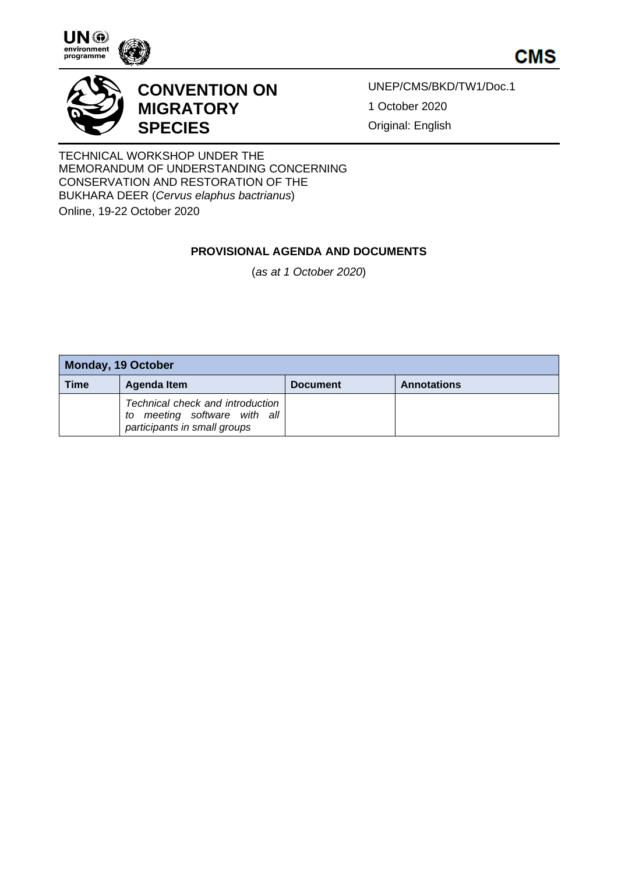

**CMS** 



## **CONVENTION ON MIGRATORY SPECIES**

UNEP/CMS/BKD/TW1/Doc.1 1 October 2020 Original: English

TECHNICAL WORKSHOP UNDER THE MEMORANDUM OF UNDERSTANDING CONCERNING CONSERVATION AND RESTORATION OF THE BUKHARA DEER (*Cervus elaphus bactrianus*)

Online, 19-22 October 2020

## **PROVISIONAL AGENDA AND DOCUMENTS**

(*as at 1 October 2020*)

| <b>Monday, 19 October</b> |                                                                                                     |                 |                    |
|---------------------------|-----------------------------------------------------------------------------------------------------|-----------------|--------------------|
| Time                      | Agenda Item                                                                                         | <b>Document</b> | <b>Annotations</b> |
|                           | Technical check and introduction<br>meeting software with all<br>to<br>participants in small groups |                 |                    |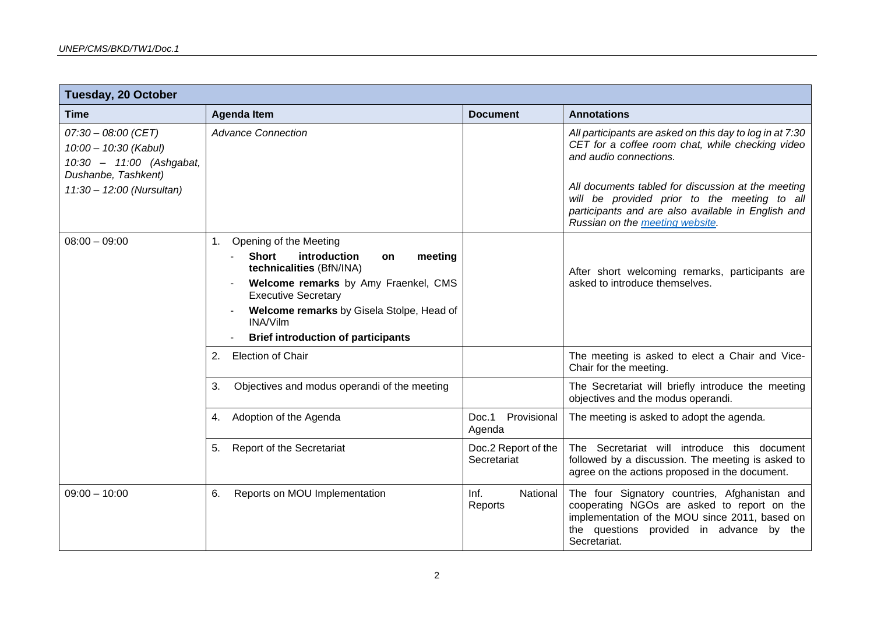| <b>Tuesday, 20 October</b>                                                                                                     |                                                                                                                                                                                                                                                                                |                                    |                                                                                                                                                                                                                                                                                                    |
|--------------------------------------------------------------------------------------------------------------------------------|--------------------------------------------------------------------------------------------------------------------------------------------------------------------------------------------------------------------------------------------------------------------------------|------------------------------------|----------------------------------------------------------------------------------------------------------------------------------------------------------------------------------------------------------------------------------------------------------------------------------------------------|
| <b>Time</b>                                                                                                                    | <b>Agenda Item</b>                                                                                                                                                                                                                                                             | <b>Document</b>                    | <b>Annotations</b>                                                                                                                                                                                                                                                                                 |
| $07:30 - 08:00$ (CET)<br>10:00 - 10:30 (Kabul)<br>10:30 - 11:00 (Ashgabat,<br>Dushanbe, Tashkent)<br>11:30 - 12:00 (Nursultan) | <b>Advance Connection</b>                                                                                                                                                                                                                                                      |                                    | All participants are asked on this day to log in at 7:30<br>CET for a coffee room chat, while checking video<br>and audio connections.<br>All documents tabled for discussion at the meeting<br>will be provided prior to the meeting to all<br>participants and are also available in English and |
|                                                                                                                                |                                                                                                                                                                                                                                                                                |                                    | Russian on the meeting website.                                                                                                                                                                                                                                                                    |
| $08:00 - 09:00$                                                                                                                | Opening of the Meeting<br>1.<br>Short<br>introduction<br>meeting<br>on<br>technicalities (BfN/INA)<br>Welcome remarks by Amy Fraenkel, CMS<br><b>Executive Secretary</b><br>Welcome remarks by Gisela Stolpe, Head of<br>INA/Vilm<br><b>Brief introduction of participants</b> |                                    | After short welcoming remarks, participants are<br>asked to introduce themselves.                                                                                                                                                                                                                  |
|                                                                                                                                | <b>Election of Chair</b><br>2.                                                                                                                                                                                                                                                 |                                    | The meeting is asked to elect a Chair and Vice-<br>Chair for the meeting.                                                                                                                                                                                                                          |
|                                                                                                                                | Objectives and modus operandi of the meeting<br>3.                                                                                                                                                                                                                             |                                    | The Secretariat will briefly introduce the meeting<br>objectives and the modus operandi.                                                                                                                                                                                                           |
|                                                                                                                                | 4. Adoption of the Agenda                                                                                                                                                                                                                                                      | Doc.1<br>Provisional<br>Agenda     | The meeting is asked to adopt the agenda.                                                                                                                                                                                                                                                          |
|                                                                                                                                | <b>Report of the Secretariat</b><br>5.                                                                                                                                                                                                                                         | Doc.2 Report of the<br>Secretariat | The Secretariat will introduce this document<br>followed by a discussion. The meeting is asked to<br>agree on the actions proposed in the document.                                                                                                                                                |
| $09:00 - 10:00$                                                                                                                | Reports on MOU Implementation<br>6.                                                                                                                                                                                                                                            | Inf.<br>National<br>Reports        | The four Signatory countries, Afghanistan and<br>cooperating NGOs are asked to report on the<br>implementation of the MOU since 2011, based on<br>the questions provided in advance by the<br>Secretariat.                                                                                         |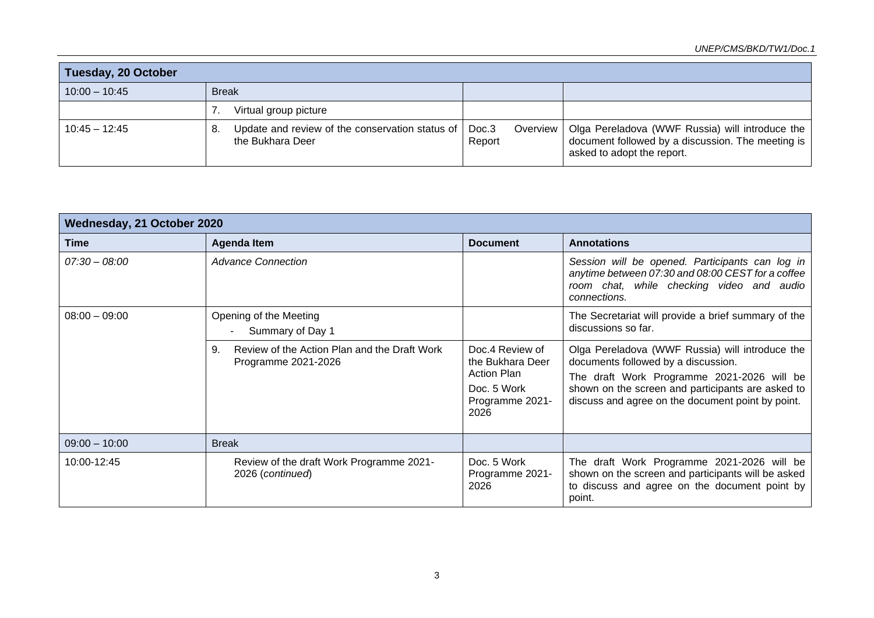## *UNEP/CMS/BKD/TW1/Doc.1*

| <b>Tuesday, 20 October</b> |                                                                           |                               |                                                                                                                                    |
|----------------------------|---------------------------------------------------------------------------|-------------------------------|------------------------------------------------------------------------------------------------------------------------------------|
| $10:00 - 10:45$            | <b>Break</b>                                                              |                               |                                                                                                                                    |
|                            | Virtual group picture                                                     |                               |                                                                                                                                    |
| $10:45 - 12:45$            | Update and review of the conservation status of<br>8.<br>the Bukhara Deer | Doc.3<br>Overview  <br>Report | Olga Pereladova (WWF Russia) will introduce the<br>document followed by a discussion. The meeting is<br>asked to adopt the report. |

| Wednesday, 21 October 2020 |                                                                           |                                                                                                     |                                                                                                                                                                                                                                                |
|----------------------------|---------------------------------------------------------------------------|-----------------------------------------------------------------------------------------------------|------------------------------------------------------------------------------------------------------------------------------------------------------------------------------------------------------------------------------------------------|
| <b>Time</b>                | <b>Agenda Item</b>                                                        | <b>Document</b>                                                                                     | <b>Annotations</b>                                                                                                                                                                                                                             |
| $07:30 - 08:00$            | <b>Advance Connection</b>                                                 |                                                                                                     | Session will be opened. Participants can log in<br>anytime between 07:30 and 08:00 CEST for a coffee<br>room chat, while checking video and audio<br>connections.                                                                              |
| $08:00 - 09:00$            | Opening of the Meeting<br>Summary of Day 1                                |                                                                                                     | The Secretariat will provide a brief summary of the<br>discussions so far.                                                                                                                                                                     |
|                            | Review of the Action Plan and the Draft Work<br>9.<br>Programme 2021-2026 | Doc.4 Review of<br>the Bukhara Deer<br><b>Action Plan</b><br>Doc. 5 Work<br>Programme 2021-<br>2026 | Olga Pereladova (WWF Russia) will introduce the<br>documents followed by a discussion.<br>The draft Work Programme 2021-2026 will be<br>shown on the screen and participants are asked to<br>discuss and agree on the document point by point. |
| $09:00 - 10:00$            | <b>Break</b>                                                              |                                                                                                     |                                                                                                                                                                                                                                                |
| 10:00-12:45                | Review of the draft Work Programme 2021-<br>2026 (continued)              | Doc. 5 Work<br>Programme 2021-<br>2026                                                              | The draft Work Programme 2021-2026 will be<br>shown on the screen and participants will be asked<br>to discuss and agree on the document point by<br>point.                                                                                    |